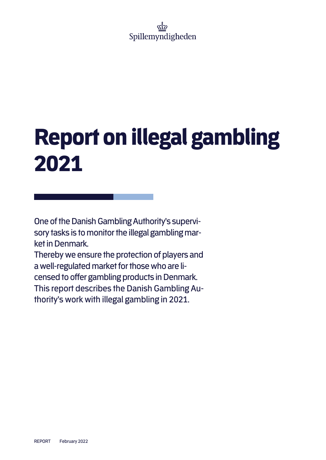### งถึว Spillemyndigheden

# Report on illegal gambling 2021

One of the Danish Gambling Authority's supervisory tasks is to monitor the illegal gambling market in Denmark.

Thereby we ensure the protection of players and a well-regulated market for those who are licensed to offer gambling products in Denmark. This report describes the Danish Gambling Authority's work with illegal gambling in 2021.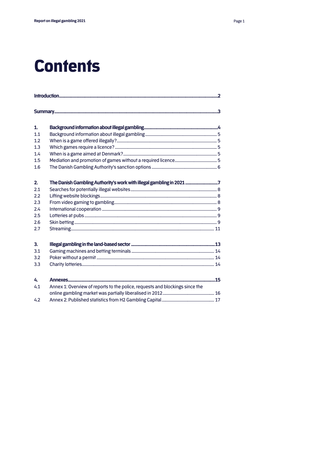### **Contents**

| 1.             |                                                                              |  |  |  |  |  |
|----------------|------------------------------------------------------------------------------|--|--|--|--|--|
| 1.1            |                                                                              |  |  |  |  |  |
| 1.2            |                                                                              |  |  |  |  |  |
| 1.3            |                                                                              |  |  |  |  |  |
| 1.4            |                                                                              |  |  |  |  |  |
| 1.5            |                                                                              |  |  |  |  |  |
| 1.6            |                                                                              |  |  |  |  |  |
| 2.             | The Danish Gambling Authority's work with illegal gambling in 2021 7         |  |  |  |  |  |
| 2.1            |                                                                              |  |  |  |  |  |
| 2.2            |                                                                              |  |  |  |  |  |
| 2.3            |                                                                              |  |  |  |  |  |
| 2.4            |                                                                              |  |  |  |  |  |
| 2.5            |                                                                              |  |  |  |  |  |
| 2.6            |                                                                              |  |  |  |  |  |
| 2.7            |                                                                              |  |  |  |  |  |
| 3 <sub>1</sub> |                                                                              |  |  |  |  |  |
| 3.1            |                                                                              |  |  |  |  |  |
| 3.2            |                                                                              |  |  |  |  |  |
| 3.3            |                                                                              |  |  |  |  |  |
| 4.             |                                                                              |  |  |  |  |  |
| 4.1            | Annex 1: Overview of reports to the police, requests and blockings since the |  |  |  |  |  |
|                |                                                                              |  |  |  |  |  |
| 4.2            |                                                                              |  |  |  |  |  |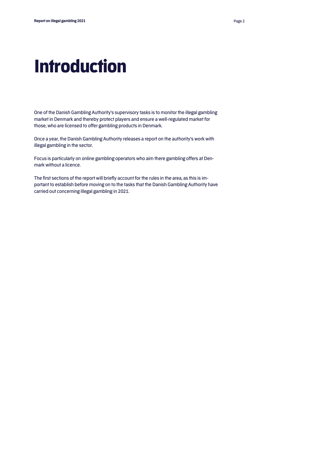## **Introduction**

One of the Danish Gambling Authority's supervisory tasks is to monitor the illegal gambling market in Denmark and thereby protect players and ensure a well-regulated market for those, who are licensed to offer gambling products in Denmark.

Once a year, the Danish Gambling Authority releases a report on the authority's work with illegal gambling in the sector.

Focus is particularly on online gambling operators who aim there gambling offers at Denmark without a licence.

The first sections of the report will briefly account for the rules in the area, as this is important to establish before moving on to the tasks that the Danish Gambling Authority have carried out concerning illegal gambling in 2021.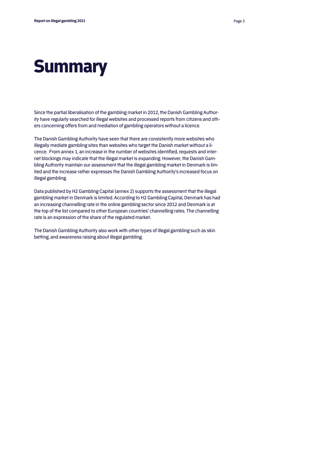# **Summary**

Since the partial liberalisation of the gambling market in 2012, the Danish Gambling Authority have regularly searched for illegal websites and processed reports from citizens and others concerning offers from and mediation of gambling operators without a licence.

The Danish Gambling Authority have seen that there are consistently more websites who illegally mediate gambling sites than websites who target the Danish market without a licence. From annex 1, an increase in the number of websites identified, requests and internet blockings may indicate that the illegal market is expanding. However, the Danish Gambling Authority maintain our assessment that the illegal gambling market in Denmark is limited and the increase rather expresses the Danish Gambling Authority's increased focus on illegal gambling.

Data published by H2 Gambling Capital (annex 2) supports the assessment that the illegal gambling market in Denmark is limited. According to H2 Gambling Capital, Denmark has had an increasing channelling rate in the online gambling sector since 2012 and Denmark is at the top of the list compared to other European countries' channelling rates. The channelling rate is an expression of the share of the regulated market.

The Danish Gambling Authority also work with other types of illegal gambling such as skin betting, and awareness raising about illegal gambling.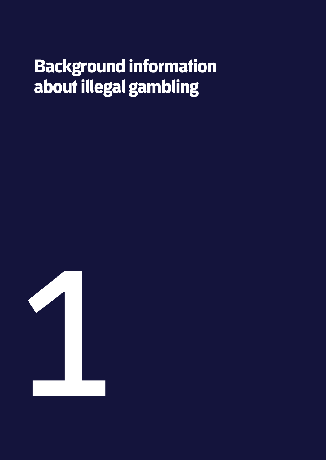# Background information about illegal gambling

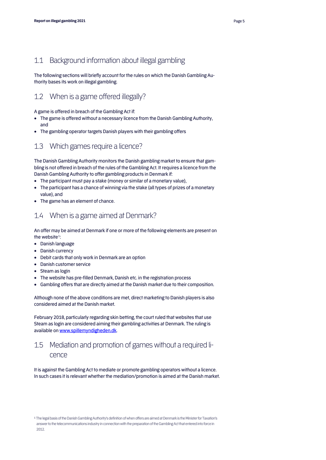The following sections will briefly account for the rules on which the Danish Gambling Authority bases its work on illegal gambling.

### 1.2 When is a game offered illegally?

A game is offered in breach of the Gambling Act if:

- The game is offered without a necessary licence from the Danish Gambling Authority, and
- The gambling operator targets Danish players with their gambling offers

#### 1.3 Which games require a licence?

The Danish Gambling Authority monitors the Danish gambling market to ensure that gambling is not offered in breach of the rules of the Gambling Act. It requires a licence from the Danish Gambling Authority to offer gambling products in Denmark if:

- The participant must pay a stake (money or similar of a monetary value),
- The participant has a chance of winning via the stake (all types of prizes of a monetary value), and
- The game has an element of chance.

#### 1.4 When is a game aimed at Denmark?

An offer may be aimed at Denmark if one or more of the following elements are present on the website**[1](#page-5-0)**:

- Danish language
- Danish currency
- Debit cards that only work in Denmark are an option
- Danish customer service
- Steam as login
- The website has pre-filled Denmark, Danish etc. in the registration process
- Gambling offers that are directly aimed at the Danish market due to their composition.

Although none of the above conditions are met, direct marketing to Danish players is also considered aimed at the Danish market.

February 2018, particularly regarding skin betting, the court ruled that websites that use Steam as login are considered aiming their gambling activities at Denmark. The ruling is available on www.spillemyndigheden.dk.

#### 1.5 Mediation and promotion of games without a required licence

It is against the Gambling Act to mediate or promote gambling operators without a licence. In such cases it is relevant whether the mediation/promotion is aimed at the Danish market.

<span id="page-5-0"></span>**<sup>1</sup>** The legal basis of the Danish Gambling Authority's definition of when offers are aimed at Denmark is the Minister for Taxation's answer to the telecommunications industry in connection with the preparation of the Gambling Act that entered into force in 2012.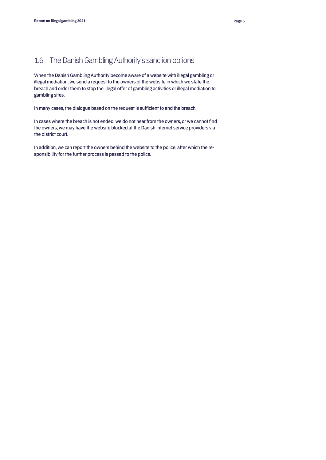### 1.6 The Danish Gambling Authority's sanction options

When the Danish Gambling Authority become aware of a website with illegal gambling or illegal mediation, we send a request to the owners of the website in which we state the breach and order them to stop the illegal offer of gambling activities or illegal mediation to gambling sites.

In many cases, the dialogue based on the request is sufficient to end the breach.

In cases where the breach is not ended, we do not hear from the owners, or we cannot find the owners, we may have the website blocked at the Danish internet service providers via the district court.

In addition, we can report the owners behind the website to the police, after which the responsibility for the further process is passed to the police.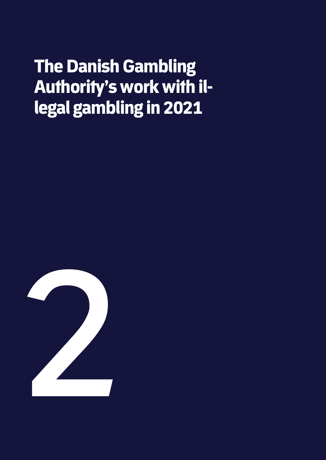# The Danish Gambling Authority's work with illegal gambling in 2021

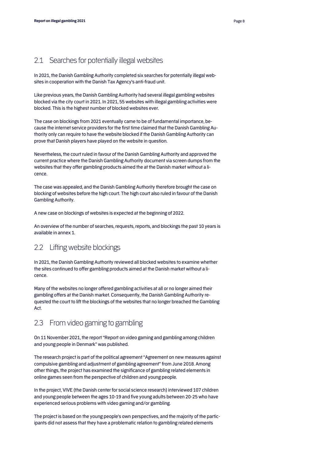#### 2.1 Searches for potentially illegal websites

In 2021, the Danish Gambling Authority completed six searches for potentially illegal websites in cooperation with the Danish Tax Agency's anti-fraud unit.

Like previous years, the Danish Gambling Authority had several illegal gambling websites blocked via the city court in 2021. In 2021, 55 websites with illegal gambling activities were blocked. This is the highest number of blocked websites ever.

The case on blockings from 2021 eventually came to be of fundamental importance, because the internet service providers for the first time claimed that the Danish Gambling Authority only can require to have the website blocked if the Danish Gambling Authority can prove that Danish players have played on the website in question.

Nevertheless, the court ruled in favour of the Danish Gambling Authority and approved the current practice where the Danish Gambling Authority document via screen dumps from the websites that they offer gambling products aimed the at the Danish market without a licence.

The case was appealed, and the Danish Gambling Authority therefore brought the case on blocking of websites before the high court. The high court also ruled in favour of the Danish Gambling Authority.

A new case on blockings of websites is expected at the beginning of 2022.

An overview of the number of searches, requests, reports, and blockings the past 10 years is available in annex 1.

#### 2.2 Lifting website blockings

In 2021, the Danish Gambling Authority reviewed all blocked websites to examine whether the sites continued to offer gambling products aimed at the Danish market without a licence.

Many of the websites no longer offered gambling activities at all or no longer aimed their gambling offers at the Danish market. Consequently, the Danish Gambling Authority requested the court to lift the blockings of the websites that no longer breached the Gambling Act.

#### 2.3 From video gaming to gambling

On 11 November 2021, the report "Report on video gaming and gambling among children and young people in Denmark" was published.

The research project is part of the political agreement "Agreement on new measures against compulsive gambling and adjustment of gambling agreement" from June 2018. Among other things, the project has examined the significance of gambling related elements in online games seen from the perspective of children and young people.

In the project, VIVE (the Danish center for social science research) interviewed 107 children and young people between the ages 10-19 and five young adults between 20-25 who have experienced serious problems with video gaming and/or gambling.

The project is based on the young people's own perspectives, and the majority of the participants did not assess that they have a problematic relation to gambling related elements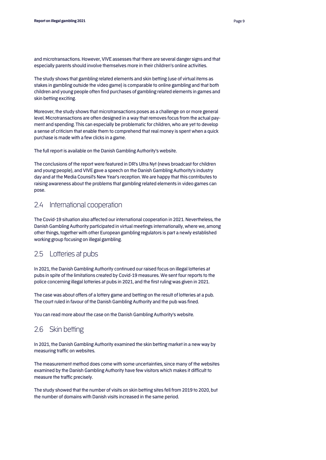and microtransactions. However, VIVE assesses that there are several danger signs and that especially parents should involve themselves more in their children's online activities.

The study shows that gambling related elements and skin betting (use of virtual items as stakes in gambling outside the video game) is comparable to online gambling and that both children and young people often find purchases of gambling related elements in games and skin betting exciting.

Moreover, the study shows that microtransactions poses as a challenge on or more general level. Microtransactions are often designed in a way that removes focus from the actual payment and spending. This can especially be problematic for children, who are yet to develop a sense of criticism that enable them to comprehend that real money is spent when a quick purchase is made with a few clicks in a game.

The full report is available on the Danish Gambling Authority's website.

The conclusions of the report were featured in DR's Ultra Nyt (news broadcast for children and young people), and VIVE gave a speech on the Danish Gambling Authority's industry day and at the Media Counsil's New Year's reception. We are happy that this contributes to raising awareness about the problems that gambling related elements in video games can pose.

#### 2.4 International cooperation

The Covid-19 situation also affected our international cooperation in 2021. Nevertheless, the Danish Gambling Authority participated in virtual meetings internationally, where we, among other things, together with other European gambling regulators is part a newly established working group focusing on illegal gambling.

#### 2.5 Lotteries at pubs

In 2021, the Danish Gambling Authority continued our raised focus on illegal lotteries at pubs in spite of the limitations created by Covid-19 measures. We sent four reports to the police concerning illegal lotteries at pubs in 2021, and the first ruling was given in 2021.

The case was about offers of a lottery game and betting on the result of lotteries at a pub. The court ruled in favour of the Danish Gambling Authority and the pub was fined.

You can read more about the case on the Danish Gambling Authority's website.

#### 2.6 Skin betting

In 2021, the Danish Gambling Authority examined the skin betting market in a new way by measuring traffic on websites.

The measurement method does come with some uncertainties, since many of the websites examined by the Danish Gambling Authority have few visitors which makes it difficult to measure the traffic precisely.

The study showed that the number of visits on skin betting sites fell from 2019 to 2020, but the number of domains with Danish visits increased in the same period.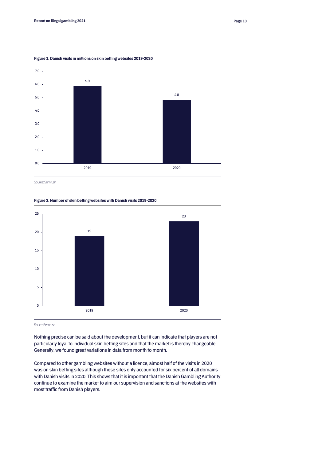

**Figure 1. Danish visits in millions on skin betting websites 2019-2020**

Source: Semrush

#### **Figure 2. Number of skin betting websites with Danish visits 2019-2020**



Souce: Semrush

Nothing precise can be said about the development, but it can indicate that players are not particularly loyal to individual skin betting sites and that the market is thereby changeable. Generally, we found great variations in data from month to month.

Compared to other gambling websites without a licence, almost half of the visits in 2020 was on skin betting sites although these sites only accounted for six percent of all domains with Danish visits in 2020. This shows that it is important that the Danish Gambling Authority continue to examine the market to aim our supervision and sanctions at the websites with most traffic from Danish players.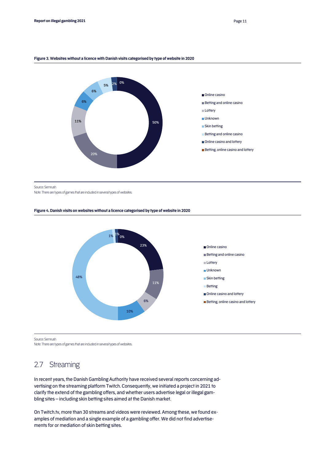#### **Figure 3. Websites without a licence with Danish visits categorised by type of website in 2020**



Source: Semrush

Note: There are types of games that are included in several types of websites.

#### **Figure 4. Danish visits on websites without a licence categorised by type of website in 2020**



Source: Semrush

Note: There are types of games that are included in several types of websites.

#### 2.7 Streaming

In recent years, the Danish Gambling Authority have received several reports concerning advertising on the streaming platform Twitch. Consequently, we initiated a project in 2021 to clarify the extend of the gambling offers, and whether users advertise legal or illegal gambling sites – including skin betting sites aimed at the Danish market.

On Twitch.tv, more than 30 streams and videos were reviewed. Among these, we found examples of mediation and a single example of a gambling offer. We did not find advertisements for or mediation of skin betting sites.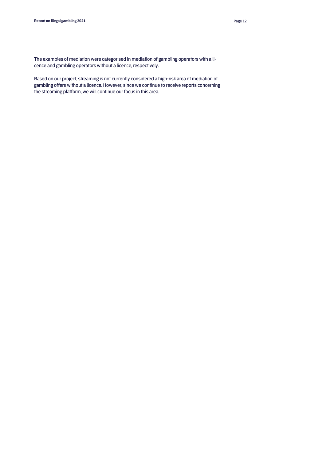The examples of mediation were categorised in mediation of gambling operators with a licence and gambling operators without a licence, respectively.

Based on our project, streaming is not currently considered a high-risk area of mediation of gambling offers without a licence. However, since we continue to receive reports concerning the streaming platform, we will continue our focus in this area.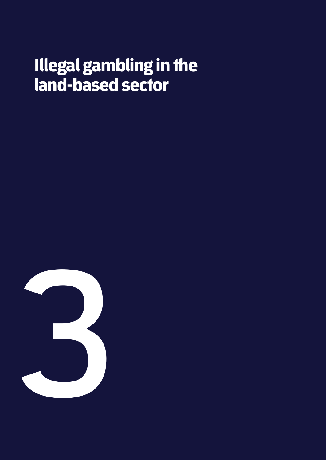## Illegal gambling in the land-based sector

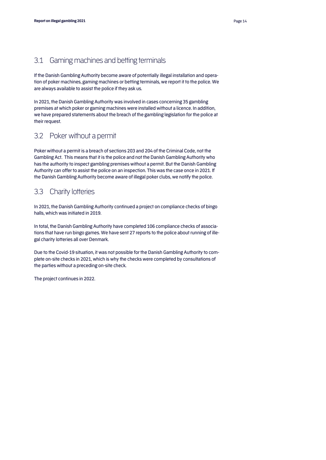#### 3.1 Gaming machines and betting terminals

If the Danish Gambling Authority become aware of potentially illegal installation and operation of poker machines, gaming machines or betting terminals, we report it to the police. We are always available to assist the police if they ask us.

In 2021, the Danish Gambling Authority was involved in cases concerning 35 gambling premises at which poker or gaming machines were installed without a licence. In addition, we have prepared statements about the breach of the gambling legislation for the police at their request.

#### 3.2 Poker without a permit

Poker without a permit is a breach of sections 203 and 204 of the Criminal Code, not the Gambling Act. This means that it is the police and not the Danish Gambling Authority who has the authority to inspect gambling premises without a permit. But the Danish Gambling Authority can offer to assist the police on an inspection. This was the case once in 2021. If the Danish Gambling Authority become aware of illegal poker clubs, we notify the police.

#### 3.3 Charity lotteries

In 2021, the Danish Gambling Authority continued a project on compliance checks of bingo halls, which was initiated in 2019.

In total, the Danish Gambling Authority have completed 106 compliance checks of associations that have run bingo games. We have sent 27 reports to the police about running of illegal charity lotteries all over Denmark.

Due to the Covid-19 situation, it was not possible for the Danish Gambling Authority to complete on-site checks in 2021, which is why the checks were completed by consultations of the parties without a preceding on-site check.

The project continues in 2022.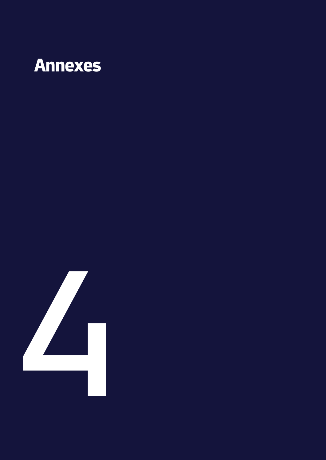### Annexes

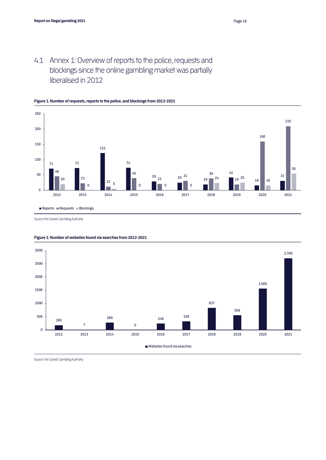4.1 Annex 1: Overview of reports to the police, requests and blockings since the online gambling market was partially liberalised in 2012



#### **Figure 1. Number of requests, reports to the police, and blockings from 2012-2021**

Source: the Danish Gambling Authority



**Figure 2. Number of websites found via searches from 2012-2021**

Source: the Danish Gambling Authority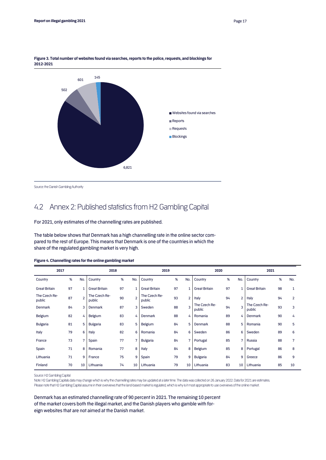

**Figure 3. Total number of websites found via searches, reports to the police, requests, and blockings for 2012-2021**

```
Source: the Danish Gambling Authority
```
### 4.2 Annex 2: Published statistics from H2 Gambling Capital

For 2021, only estimates of the channelling rates are published.

The table below shows that Denmark has a high channelling rate in the online sector compared to the rest of Europe. This means that Denmark is one of the countries in which the share of the regulated gambling market is very high.

| 2017                    |    |                | 2018                    |    |                | 2019                    |    |                | 2020                    |    |                | 2021                    |    |     |
|-------------------------|----|----------------|-------------------------|----|----------------|-------------------------|----|----------------|-------------------------|----|----------------|-------------------------|----|-----|
| Country                 | %  | No.            | Country                 | %  | No.            | Country                 | %  | No.            | Country                 | %  | No.            | Country                 | %  | No. |
| <b>Great Britain</b>    | 97 |                | <b>Great Britain</b>    | 97 | $\mathbf{1}$   | <b>Great Britain</b>    | 97 | $\mathbf{1}$   | <b>Great Britain</b>    | 97 | 1              | <b>Great Britain</b>    | 98 | 1   |
| The Czech Re-<br>public | 87 | $\overline{2}$ | The Czech Re-<br>public | 90 | $\overline{2}$ | The Czech Re-<br>public | 93 | $\overline{2}$ | <b>Italy</b>            | 94 | $\overline{2}$ | Italy                   | 94 | 2   |
| Denmark                 | 84 | 3              | <b>Denmark</b>          | 87 | 3              | Sweden                  | 88 | 3              | The Czech Re-<br>public | 94 | $\overline{3}$ | The Czech Re-<br>public | 93 | 3   |
| Belgium                 | 82 | 4              | Belgium                 | 83 | 4              | <b>Denmark</b>          | 88 | 4              | Romania                 | 89 | 4              | <b>Denmark</b>          | 90 | 4   |
| <b>Bulgaria</b>         | 81 | 5              | <b>Bulgaria</b>         | 83 | 5              | Belgium                 | 84 | 5              | Denmark                 | 88 | 5              | Romania                 | 90 | 5   |
| Italy                   | 79 | 6              | Italy                   | 82 | 6              | Romania                 | 84 | 6              | Sweden                  | 86 | 6              | Sweden                  | 89 | 6   |
| France                  | 73 | 7              | Spain                   | 77 | $\overline{7}$ | <b>Bulgaria</b>         | 84 | $\overline{7}$ | Portugal                | 85 | 7              | Russia                  | 88 | 7   |
| Spain                   | 71 | 8              | Romania                 | 77 | 8              | <b>Italy</b>            | 84 | 8              | Belgium                 | 85 | 8              | Portugal                | 86 | 8   |
| Lithuania               | 71 | 9              | France                  | 75 | 9              | Spain                   | 79 | 9              | <b>Bulgaria</b>         | 84 | 9              | Greece                  | 86 | 9   |
| Finland                 | 70 | 10             | Lithuania               | 74 | 10             | Lithuania               | 79 | 10             | Lithuania               | 83 | 10             | Lithuania               | 85 | 10  |

**Figure 4. Channelling rates for the online gambling market** 

Source: H2 Gambling Capital

Note: H2 Gambling Capitals data may change which is why the channelling rates may be updated at a later time. The data was collected on 26 January 2022. Data for 2021 are estimates. Please note that H2 Gambling Capital assume in their overviews that the land-based market is regulated, which is why is it most appropriate to use overviews of the online market.

Denmark has an estimated channelling rate of 90 percent in 2021. The remaining 10 percent of the market covers both the illegal market, and the Danish players who gamble with foreign websites that are not aimed at the Danish market.